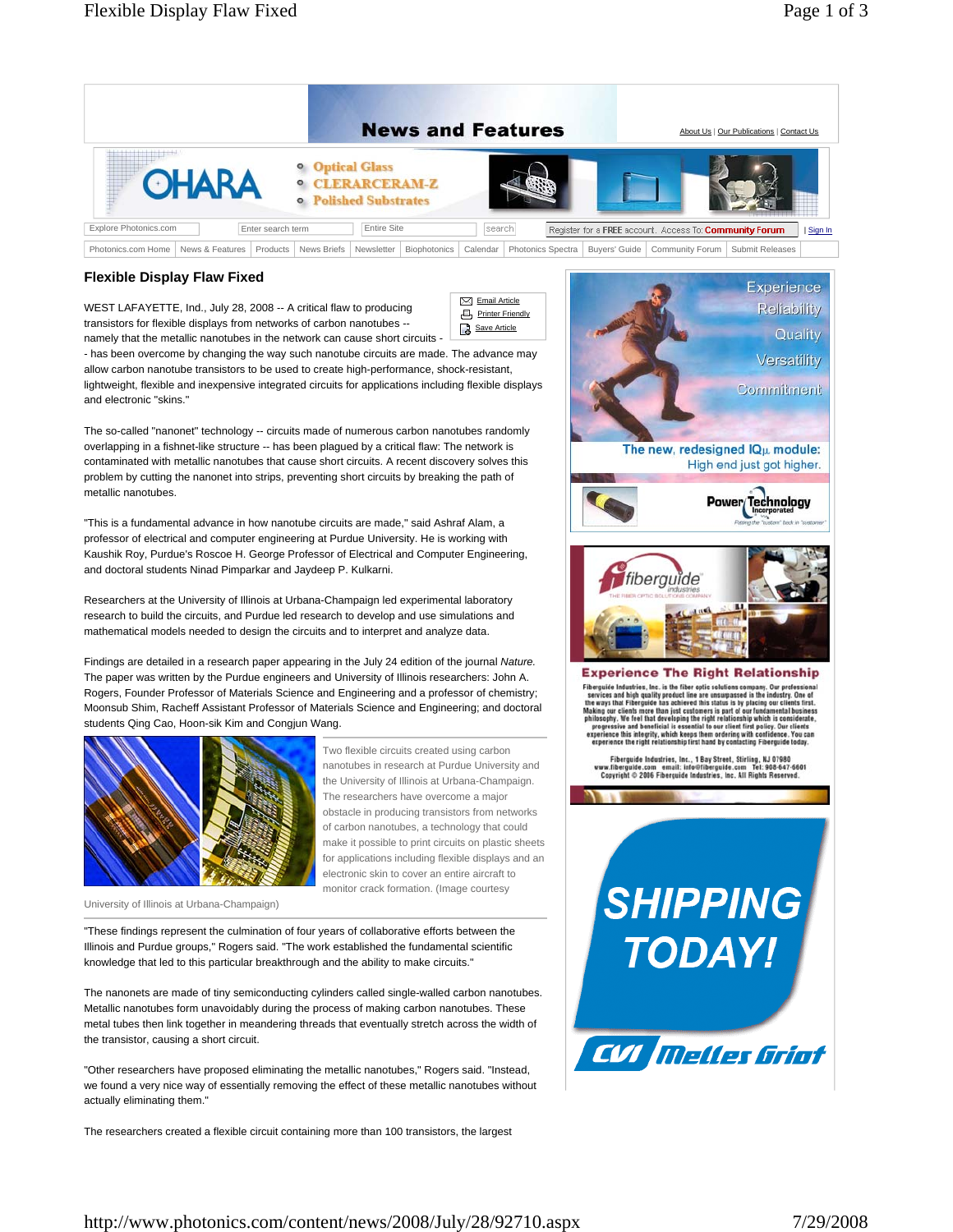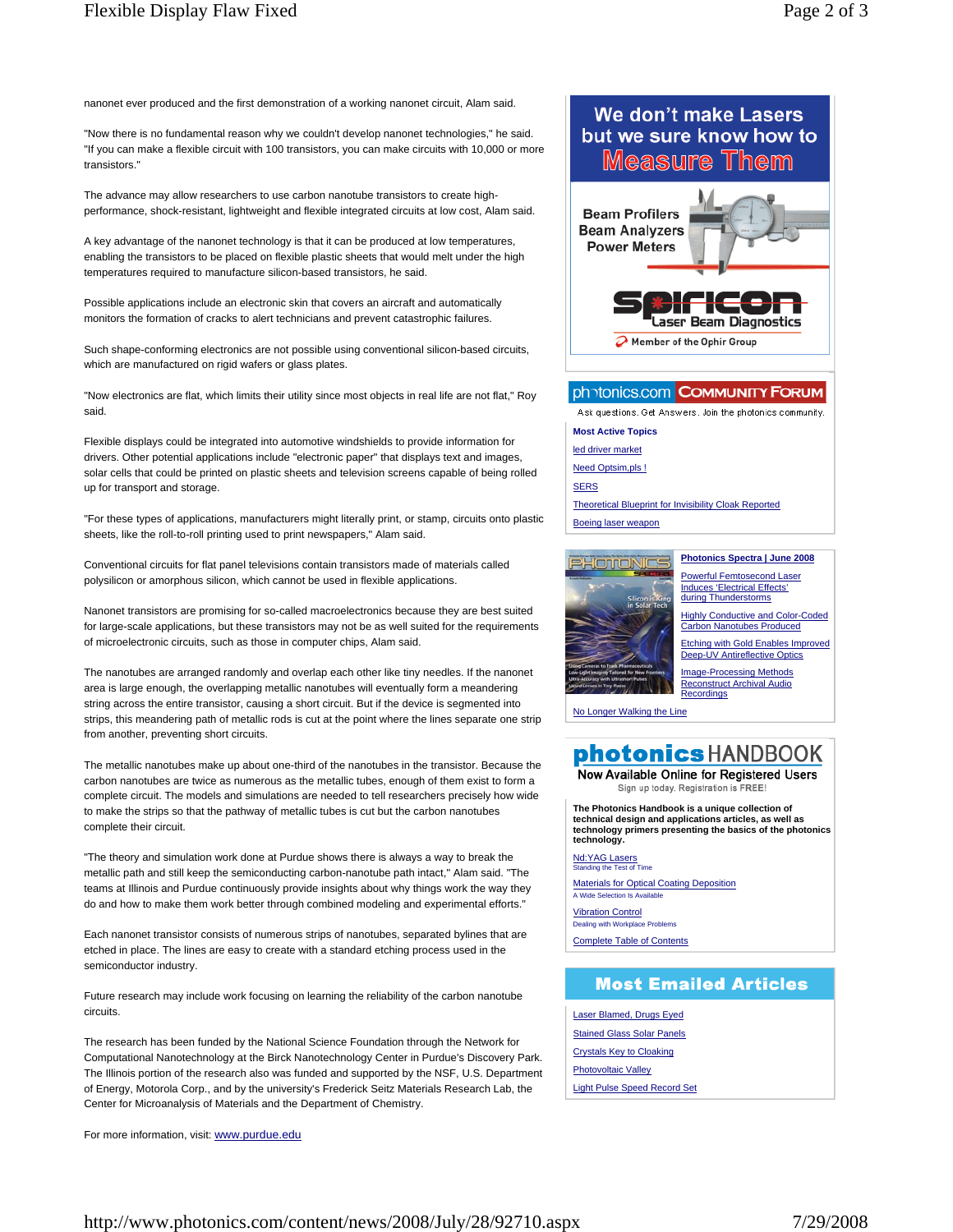nanonet ever produced and the first demonstration of a working nanonet circuit, Alam said.

"Now there is no fundamental reason why we couldn't develop nanonet technologies," he said. "If you can make a flexible circuit with 100 transistors, you can make circuits with 10,000 or more transistors."

The advance may allow researchers to use carbon nanotube transistors to create highperformance, shock-resistant, lightweight and flexible integrated circuits at low cost, Alam said.

A key advantage of the nanonet technology is that it can be produced at low temperatures, enabling the transistors to be placed on flexible plastic sheets that would melt under the high temperatures required to manufacture silicon-based transistors, he said.

Possible applications include an electronic skin that covers an aircraft and automatically monitors the formation of cracks to alert technicians and prevent catastrophic failures.

Such shape-conforming electronics are not possible using conventional silicon-based circuits, which are manufactured on rigid wafers or glass plates.

"Now electronics are flat, which limits their utility since most objects in real life are not flat," Roy said.

Flexible displays could be integrated into automotive windshields to provide information for drivers. Other potential applications include "electronic paper" that displays text and images, solar cells that could be printed on plastic sheets and television screens capable of being rolled up for transport and storage.

"For these types of applications, manufacturers might literally print, or stamp, circuits onto plastic sheets, like the roll-to-roll printing used to print newspapers," Alam said.

Conventional circuits for flat panel televisions contain transistors made of materials called polysilicon or amorphous silicon, which cannot be used in flexible applications.

Nanonet transistors are promising for so-called macroelectronics because they are best suited for large-scale applications, but these transistors may not be as well suited for the requirements of microelectronic circuits, such as those in computer chips, Alam said.

The nanotubes are arranged randomly and overlap each other like tiny needles. If the nanonet area is large enough, the overlapping metallic nanotubes will eventually form a meandering string across the entire transistor, causing a short circuit. But if the device is segmented into strips, this meandering path of metallic rods is cut at the point where the lines separate one strip from another, preventing short circuits.

The metallic nanotubes make up about one-third of the nanotubes in the transistor. Because the carbon nanotubes are twice as numerous as the metallic tubes, enough of them exist to form a complete circuit. The models and simulations are needed to tell researchers precisely how wide to make the strips so that the pathway of metallic tubes is cut but the carbon nanotubes complete their circuit.

"The theory and simulation work done at Purdue shows there is always a way to break the metallic path and still keep the semiconducting carbon-nanotube path intact," Alam said. "The teams at Illinois and Purdue continuously provide insights about why things work the way they do and how to make them work better through combined modeling and experimental efforts."

Each nanonet transistor consists of numerous strips of nanotubes, separated bylines that are etched in place. The lines are easy to create with a standard etching process used in the semiconductor industry.

Future research may include work focusing on learning the reliability of the carbon nanotube circuits.

The research has been funded by the National Science Foundation through the Network for Computational Nanotechnology at the Birck Nanotechnology Center in Purdue's Discovery Park. The Illinois portion of the research also was funded and supported by the NSF, U.S. Department of Energy, Motorola Corp., and by the university's Frederick Seitz Materials Research Lab, the Center for Microanalysis of Materials and the Department of Chemistry.

For more information, visit: www.purdue.edu



Boeing laser weapon



**Photonics Spectra | June 2008**

Powerful Femtosecond Laser Induces 'Electrical Effects' during Thunderstorms Highly Conductive and Color-Coded

Carbon Nanotubes Produced

Etching with Gold Enables Improved Deep-UV Antireflective Optics

Image-Processing Methods Reconstruct Archival Audio **Recordings** 

No Longer Walking the Line

## photonics HANDBOOK

Now Available Online for Registered Users Sign up today. Registration is FREE

**The Photonics Handbook is a unique collection of technical design and applications articles, as well as technology primers presenting the basics of the photonics technology.**

Nd:YAG Lasers Standing the Test of Time

Materials for Optical Coating Deposition A Wide Selection Is Availabl

Vibration Control aling with Workplace Problems

Complete Table of Contents

## **Most Emailed Articles**

Laser Blamed, Drugs Eyed Stained Glass Solar Panels Crystals Key to Cloaking Photovoltaic Valley Light Pulse Speed Record Set

http://www.photonics.com/content/news/2008/July/28/92710.aspx 7/29/2008